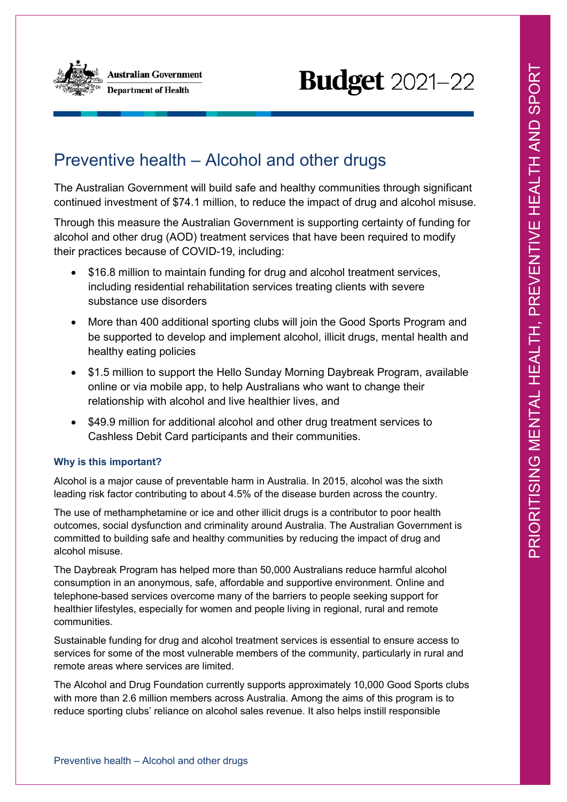

# **Budget** 2021-22

# Preventive health – Alcohol and other drugs

The Australian Government will build safe and healthy communities through significant continued investment of \$74.1 million, to reduce the impact of drug and alcohol misuse.

Through this measure the Australian Government is supporting certainty of funding for alcohol and other drug (AOD) treatment services that have been required to modify their practices because of COVID-19, including:

- \$16.8 million to maintain funding for drug and alcohol treatment services, including residential rehabilitation services treating clients with severe substance use disorders
- More than 400 additional sporting clubs will join the Good Sports Program and be supported to develop and implement alcohol, illicit drugs, mental health and healthy eating policies
- \$1.5 million to support the Hello Sunday Morning Daybreak Program, available online or via mobile app, to help Australians who want to change their relationship with alcohol and live healthier lives, and
- \$49.9 million for additional alcohol and other drug treatment services to Cashless Debit Card participants and their communities.

## **Why is this important?**

Alcohol is a major cause of preventable harm in Australia. In 2015, alcohol was the sixth leading risk factor contributing to about 4.5% of the disease burden across the country.

The use of methamphetamine or ice and other illicit drugs is a contributor to poor health outcomes, social dysfunction and criminality around Australia. The Australian Government is committed to building safe and healthy communities by reducing the impact of drug and alcohol misuse.

The Daybreak Program has helped more than 50,000 Australians reduce harmful alcohol consumption in an anonymous, safe, affordable and supportive environment. Online and telephone-based services overcome many of the barriers to people seeking support for healthier lifestyles, especially for women and people living in regional, rural and remote communities.

Sustainable funding for drug and alcohol treatment services is essential to ensure access to services for some of the most vulnerable members of the community, particularly in rural and remote areas where services are limited.

The Alcohol and Drug Foundation currently supports approximately 10,000 Good Sports clubs with more than 2.6 million members across Australia. Among the aims of this program is to reduce sporting clubs' reliance on alcohol sales revenue. It also helps instill responsible